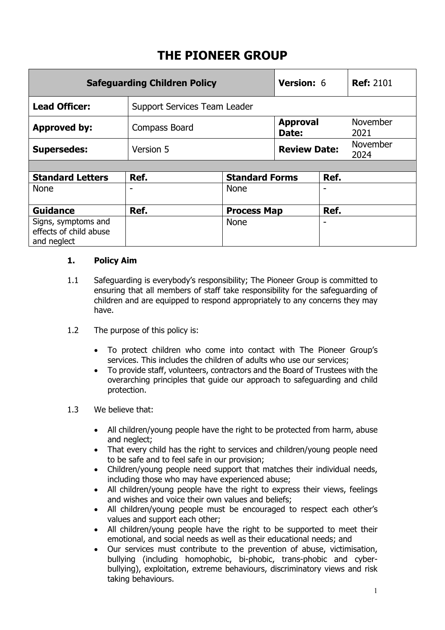# **THE PIONEER GROUP**

| <b>Safeguarding Children Policy</b>                          |                              |                       | <b>Version: 6</b>        |      | <b>Ref: 2101</b>        |
|--------------------------------------------------------------|------------------------------|-----------------------|--------------------------|------|-------------------------|
| <b>Lead Officer:</b>                                         | Support Services Team Leader |                       |                          |      |                         |
| <b>Approved by:</b>                                          | Compass Board                |                       | <b>Approval</b><br>Date: |      | November<br>2021        |
| <b>Supersedes:</b>                                           | Version 5                    |                       | <b>Review Date:</b>      |      | <b>November</b><br>2024 |
|                                                              |                              |                       |                          |      |                         |
| <b>Standard Letters</b>                                      | Ref.                         | <b>Standard Forms</b> |                          | Ref. |                         |
| <b>None</b>                                                  |                              | <b>None</b>           |                          |      |                         |
| <b>Guidance</b>                                              | Ref.                         | <b>Process Map</b>    |                          | Ref. |                         |
| Signs, symptoms and<br>effects of child abuse<br>and neglect |                              | <b>None</b>           |                          |      |                         |

## **1. Policy Aim**

- 1.1 Safeguarding is everybody's responsibility; The Pioneer Group is committed to ensuring that all members of staff take responsibility for the safeguarding of children and are equipped to respond appropriately to any concerns they may have.
- 1.2 The purpose of this policy is:
	- To protect children who come into contact with The Pioneer Group's services. This includes the children of adults who use our services;
	- To provide staff, volunteers, contractors and the Board of Trustees with the overarching principles that guide our approach to safeguarding and child protection.
- 1.3 We believe that:
	- All children/young people have the right to be protected from harm, abuse and neglect;
	- That every child has the right to services and children/young people need to be safe and to feel safe in our provision;
	- Children/young people need support that matches their individual needs, including those who may have experienced abuse;
	- All children/young people have the right to express their views, feelings and wishes and voice their own values and beliefs;
	- All children/young people must be encouraged to respect each other's values and support each other;
	- All children/young people have the right to be supported to meet their emotional, and social needs as well as their educational needs; and
	- Our services must contribute to the prevention of abuse, victimisation, bullying (including homophobic, bi-phobic, trans-phobic and cyberbullying), exploitation, extreme behaviours, discriminatory views and risk taking behaviours.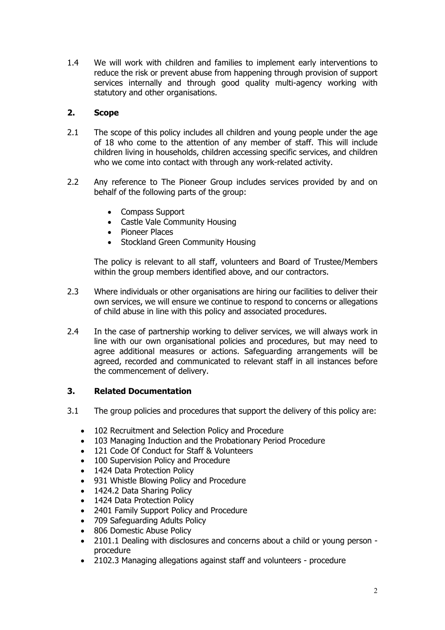1.4 We will work with children and families to implement early interventions to reduce the risk or prevent abuse from happening through provision of support services internally and through good quality multi-agency working with statutory and other organisations.

# **2. Scope**

- 2.1 The scope of this policy includes all children and young people under the age of 18 who come to the attention of any member of staff. This will include children living in households, children accessing specific services, and children who we come into contact with through any work-related activity.
- 2.2 Any reference to The Pioneer Group includes services provided by and on behalf of the following parts of the group:
	- Compass Support
	- Castle Vale Community Housing
	- Pioneer Places
	- Stockland Green Community Housing

The policy is relevant to all staff, volunteers and Board of Trustee/Members within the group members identified above, and our contractors.

- 2.3 Where individuals or other organisations are hiring our facilities to deliver their own services, we will ensure we continue to respond to concerns or allegations of child abuse in line with this policy and associated procedures.
- 2.4 In the case of partnership working to deliver services, we will always work in line with our own organisational policies and procedures, but may need to agree additional measures or actions. Safeguarding arrangements will be agreed, recorded and communicated to relevant staff in all instances before the commencement of delivery.

## **3. Related Documentation**

- 3.1 The group policies and procedures that support the delivery of this policy are:
	- 102 Recruitment and Selection Policy and Procedure
	- 103 Managing Induction and the Probationary Period Procedure
	- 121 Code Of Conduct for Staff & Volunteers
	- 100 Supervision Policy and Procedure
	- 1424 Data Protection Policy
	- 931 Whistle Blowing Policy and Procedure
	- 1424.2 Data Sharing Policy
	- 1424 Data Protection Policy
	- 2401 Family Support Policy and Procedure
	- 709 Safeguarding Adults Policy
	- 806 Domestic Abuse Policy
	- 2101.1 Dealing with disclosures and concerns about a child or young person procedure
	- 2102.3 Managing allegations against staff and volunteers procedure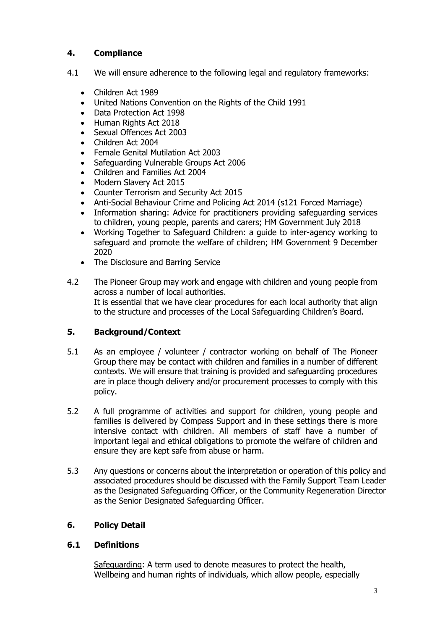# **4. Compliance**

- 4.1 We will ensure adherence to the following legal and regulatory frameworks:
	- Children Act 1989
	- United Nations Convention on the Rights of the Child 1991
	- Data Protection Act 1998
	- Human Rights Act 2018
	- Sexual Offences Act 2003
	- Children Act 2004
	- Female Genital Mutilation Act 2003
	- Safeguarding Vulnerable Groups Act 2006
	- Children and Families Act 2004
	- Modern Slavery Act 2015
	- Counter Terrorism and Security Act 2015
	- Anti-Social Behaviour Crime and Policing Act 2014 (s121 Forced Marriage)
	- Information sharing: Advice for practitioners providing safeguarding services to children, young people, parents and carers; HM Government July 2018
	- Working Together to Safeguard Children: a guide to inter-agency working to safeguard and promote the welfare of children; HM Government 9 December 2020
	- The Disclosure and Barring Service
- 4.2 The Pioneer Group may work and engage with children and young people from across a number of local authorities. It is essential that we have clear procedures for each local authority that align to the structure and processes of the Local Safeguarding Children's Board.

# **5. Background/Context**

- 5.1 As an employee / volunteer / contractor working on behalf of The Pioneer Group there may be contact with children and families in a number of different contexts. We will ensure that training is provided and safeguarding procedures are in place though delivery and/or procurement processes to comply with this policy.
- 5.2 A full programme of activities and support for children, young people and families is delivered by Compass Support and in these settings there is more intensive contact with children. All members of staff have a number of important legal and ethical obligations to promote the welfare of children and ensure they are kept safe from abuse or harm.
- 5.3 Any questions or concerns about the interpretation or operation of this policy and associated procedures should be discussed with the Family Support Team Leader as the Designated Safeguarding Officer, or the Community Regeneration Director as the Senior Designated Safeguarding Officer.

# **6. Policy Detail**

## **6.1 Definitions**

Safeguarding: A term used to denote measures to protect the health, Wellbeing and human rights of individuals, which allow people, especially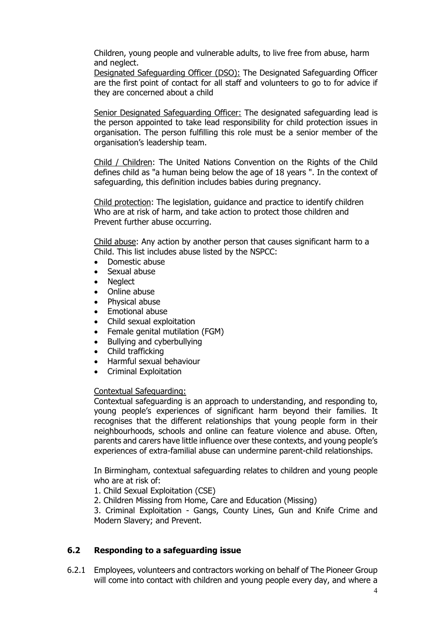Children, young people and vulnerable adults, to live free from abuse, harm and neglect.

Designated Safeguarding Officer (DSO): The Designated Safeguarding Officer are the first point of contact for all staff and volunteers to go to for advice if they are concerned about a child

Senior Designated Safeguarding Officer: The designated safeguarding lead is the person appointed to take lead responsibility for child protection issues in organisation. The person fulfilling this role must be a senior member of the organisation's leadership team.

Child / Children: The United Nations Convention on the Rights of the Child defines child as "a human being below the age of 18 years ". In the context of safeguarding, this definition includes babies during pregnancy.

Child protection: The legislation, guidance and practice to identify children Who are at risk of harm, and take action to protect those children and Prevent further abuse occurring.

Child abuse: Any action by another person that causes significant harm to a Child. This list includes abuse listed by the NSPCC:

- Domestic abuse
- Sexual abuse
- **Neglect**
- Online abuse
- Physical abuse
- Emotional abuse
- Child sexual exploitation
- Female genital mutilation (FGM)
- Bullying and cyberbullying
- Child trafficking
- Harmful sexual behaviour
- Criminal Exploitation

#### Contextual Safeguarding:

Contextual safeguarding is an approach to understanding, and responding to, young people's experiences of significant harm beyond their families. It recognises that the different relationships that young people form in their neighbourhoods, schools and online can feature violence and abuse. Often, parents and carers have little influence over these contexts, and young people's experiences of extra-familial abuse can undermine parent-child relationships.

In Birmingham, contextual safeguarding relates to children and young people who are at risk of:

- 1. Child Sexual Exploitation (CSE)
- 2. Children Missing from Home, Care and Education (Missing)

3. Criminal Exploitation - Gangs, County Lines, Gun and Knife Crime and Modern Slavery; and Prevent.

#### **6.2 Responding to a safeguarding issue**

6.2.1 Employees, volunteers and contractors working on behalf of The Pioneer Group will come into contact with children and young people every day, and where a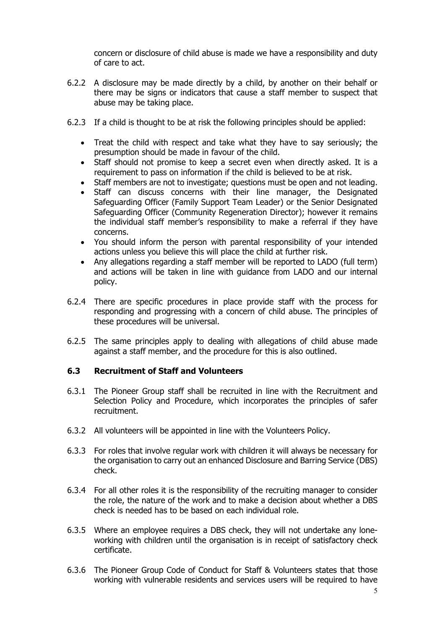concern or disclosure of child abuse is made we have a responsibility and duty of care to act.

- 6.2.2 A disclosure may be made directly by a child, by another on their behalf or there may be signs or indicators that cause a staff member to suspect that abuse may be taking place.
- 6.2.3 If a child is thought to be at risk the following principles should be applied:
	- Treat the child with respect and take what they have to say seriously; the presumption should be made in favour of the child.
	- Staff should not promise to keep a secret even when directly asked. It is a requirement to pass on information if the child is believed to be at risk.
	- Staff members are not to investigate; questions must be open and not leading.
	- Staff can discuss concerns with their line manager, the Designated Safeguarding Officer (Family Support Team Leader) or the Senior Designated Safeguarding Officer (Community Regeneration Director); however it remains the individual staff member's responsibility to make a referral if they have concerns.
	- You should inform the person with parental responsibility of your intended actions unless you believe this will place the child at further risk.
	- Any allegations regarding a staff member will be reported to LADO (full term) and actions will be taken in line with guidance from LADO and our internal policy.
- 6.2.4 There are specific procedures in place provide staff with the process for responding and progressing with a concern of child abuse. The principles of these procedures will be universal.
- 6.2.5 The same principles apply to dealing with allegations of child abuse made against a staff member, and the procedure for this is also outlined.

#### **6.3 Recruitment of Staff and Volunteers**

- 6.3.1 The Pioneer Group staff shall be recruited in line with the Recruitment and Selection Policy and Procedure, which incorporates the principles of safer recruitment.
- 6.3.2 All volunteers will be appointed in line with the Volunteers Policy.
- 6.3.3 For roles that involve regular work with children it will always be necessary for the organisation to carry out an enhanced Disclosure and Barring Service (DBS) check.
- 6.3.4 For all other roles it is the responsibility of the recruiting manager to consider the role, the nature of the work and to make a decision about whether a DBS check is needed has to be based on each individual role.
- 6.3.5 Where an employee requires a DBS check, they will not undertake any loneworking with children until the organisation is in receipt of satisfactory check certificate.
- 6.3.6 The Pioneer Group Code of Conduct for Staff & Volunteers states that those working with vulnerable residents and services users will be required to have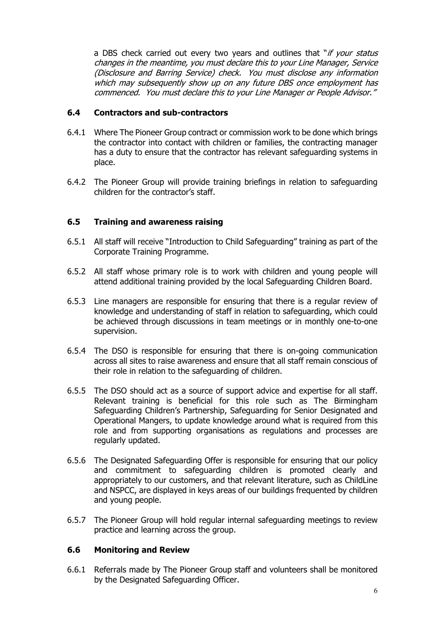a DBS check carried out every two years and outlines that "if your status changes in the meantime, you must declare this to your Line Manager, Service (Disclosure and Barring Service) check. You must disclose any information which may subsequently show up on any future DBS once employment has commenced. You must declare this to your Line Manager or People Advisor."

## **6.4 Contractors and sub-contractors**

- 6.4.1 Where The Pioneer Group contract or commission work to be done which brings the contractor into contact with children or families, the contracting manager has a duty to ensure that the contractor has relevant safeguarding systems in place.
- 6.4.2 The Pioneer Group will provide training briefings in relation to safeguarding children for the contractor's staff.

## **6.5 Training and awareness raising**

- 6.5.1 All staff will receive "Introduction to Child Safeguarding" training as part of the Corporate Training Programme.
- 6.5.2 All staff whose primary role is to work with children and young people will attend additional training provided by the local Safeguarding Children Board.
- 6.5.3 Line managers are responsible for ensuring that there is a regular review of knowledge and understanding of staff in relation to safeguarding, which could be achieved through discussions in team meetings or in monthly one-to-one supervision.
- 6.5.4 The DSO is responsible for ensuring that there is on-going communication across all sites to raise awareness and ensure that all staff remain conscious of their role in relation to the safeguarding of children.
- 6.5.5 The DSO should act as a source of support advice and expertise for all staff. Relevant training is beneficial for this role such as The Birmingham Safeguarding Children's Partnership, Safeguarding for Senior Designated and Operational Mangers, to update knowledge around what is required from this role and from supporting organisations as regulations and processes are regularly updated.
- 6.5.6 The Designated Safeguarding Offer is responsible for ensuring that our policy and commitment to safeguarding children is promoted clearly and appropriately to our customers, and that relevant literature, such as ChildLine and NSPCC, are displayed in keys areas of our buildings frequented by children and young people.
- 6.5.7 The Pioneer Group will hold regular internal safeguarding meetings to review practice and learning across the group.

#### **6.6 Monitoring and Review**

6.6.1 Referrals made by The Pioneer Group staff and volunteers shall be monitored by the Designated Safeguarding Officer.